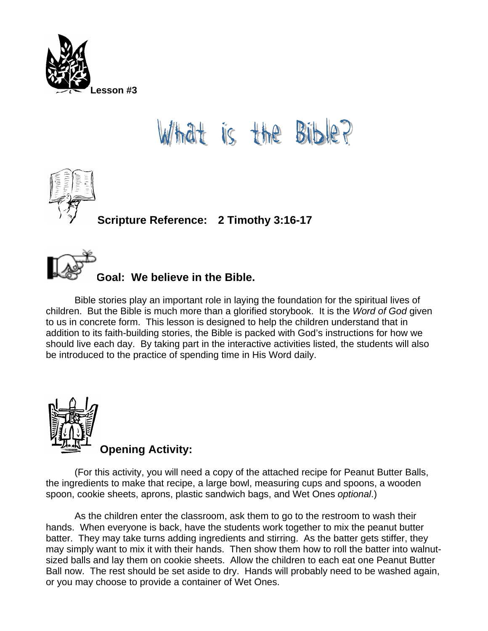

## t is the Bib





Bible stories play an important role in laying the foundation for the spiritual lives of children. But the Bible is much more than a glorified storybook. It is the *Word of God* given to us in concrete form. This lesson is designed to help the children understand that in addition to its faith-building stories, the Bible is packed with God's instructions for how we should live each day. By taking part in the interactive activities listed, the students will also be introduced to the practice of spending time in His Word daily.



(For this activity, you will need a copy of the attached recipe for Peanut Butter Balls, the ingredients to make that recipe, a large bowl, measuring cups and spoons, a wooden spoon, cookie sheets, aprons, plastic sandwich bags, and Wet Ones *optional*.)

As the children enter the classroom, ask them to go to the restroom to wash their hands. When everyone is back, have the students work together to mix the peanut butter batter. They may take turns adding ingredients and stirring. As the batter gets stiffer, they may simply want to mix it with their hands. Then show them how to roll the batter into walnutsized balls and lay them on cookie sheets. Allow the children to each eat one Peanut Butter Ball now. The rest should be set aside to dry. Hands will probably need to be washed again, or you may choose to provide a container of Wet Ones.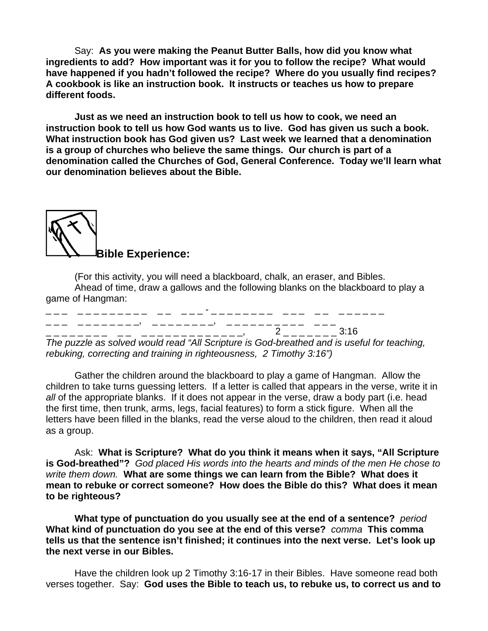Say: **As you were making the Peanut Butter Balls, how did you know what ingredients to add? How important was it for you to follow the recipe? What would have happened if you hadn't followed the recipe? Where do you usually find recipes? A cookbook is like an instruction book. It instructs or teaches us how to prepare different foods.** 

**Just as we need an instruction book to tell us how to cook, we need an instruction book to tell us how God wants us to live. God has given us such a book. What instruction book has God given us? Last week we learned that a denomination is a group of churches who believe the same things. Our church is part of a denomination called the Churches of God, General Conference. Today we'll learn what our denomination believes about the Bible.** 

**Bible Experience:** 

(For this activity, you will need a blackboard, chalk, an eraser, and Bibles. Ahead of time, draw a gallows and the following blanks on the blackboard to play a game of Hangman:

|  |  | $\overline{\phantom{0}}$ |                                                                                                                                         |
|--|--|--------------------------|-----------------------------------------------------------------------------------------------------------------------------------------|
|  |  |                          | 2 3:16                                                                                                                                  |
|  |  |                          | مناها والمستحيل والمستحيل والمستحيل والمستحيل والمستحيل والمستحيل والمستحيل والمتحاول والمستحيل والمستحيل والمستحيل والمستحيل والمستحيل |

*The puzzle as solved would read "All Scripture is God-breathed and is useful for teaching, rebuking, correcting and training in righteousness, 2 Timothy 3:16")* 

Gather the children around the blackboard to play a game of Hangman. Allow the children to take turns guessing letters. If a letter is called that appears in the verse, write it in *all* of the appropriate blanks. If it does not appear in the verse, draw a body part (i.e. head the first time, then trunk, arms, legs, facial features) to form a stick figure. When all the letters have been filled in the blanks, read the verse aloud to the children, then read it aloud as a group.

Ask: **What is Scripture? What do you think it means when it says, "All Scripture is God-breathed"?** *God placed His words into the hearts and minds of the men He chose to write them down.* **What are some things we can learn from the Bible? What does it mean to rebuke or correct someone? How does the Bible do this? What does it mean to be righteous?** 

**What type of punctuation do you usually see at the end of a sentence?** *period*  **What kind of punctuation do you see at the end of this verse?** *comma* **This comma tells us that the sentence isn't finished; it continues into the next verse. Let's look up the next verse in our Bibles.** 

Have the children look up 2 Timothy 3:16-17 in their Bibles. Have someone read both verses together. Say: **God uses the Bible to teach us, to rebuke us, to correct us and to**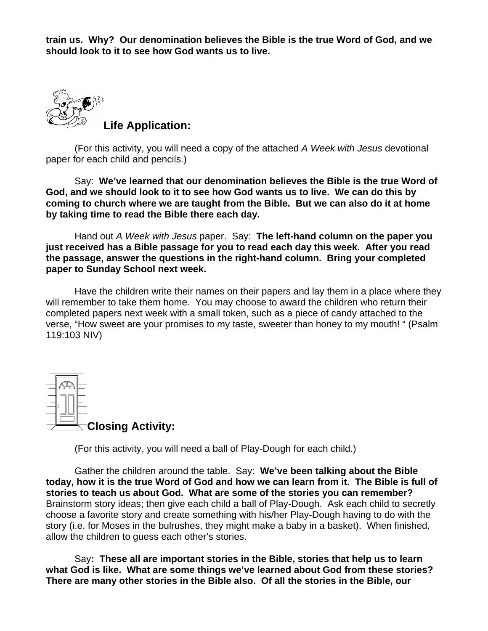**train us. Why? Our denomination believes the Bible is the true Word of God, and we should look to it to see how God wants us to live.**



(For this activity, you will need a copy of the attached *A Week with Jesus* devotional paper for each child and pencils.)

 Say: **We've learned that our denomination believes the Bible is the true Word of God, and we should look to it to see how God wants us to live. We can do this by coming to church where we are taught from the Bible. But we can also do it at home by taking time to read the Bible there each day.**

 Hand out *A Week with Jesus* paper. Say: **The left-hand column on the paper you just received has a Bible passage for you to read each day this week. After you read the passage, answer the questions in the right-hand column. Bring your completed paper to Sunday School next week.** 

Have the children write their names on their papers and lay them in a place where they will remember to take them home. You may choose to award the children who return their completed papers next week with a small token, such as a piece of candy attached to the verse, "How sweet are your promises to my taste, sweeter than honey to my mouth! " (Psalm 119:103 NIV)



(For this activity, you will need a ball of Play-Dough for each child.)

Gather the children around the table. Say: **We've been talking about the Bible today, how it is the true Word of God and how we can learn from it. The Bible is full of stories to teach us about God. What are some of the stories you can remember?** Brainstorm story ideas; then give each child a ball of Play-Dough. Ask each child to secretly choose a favorite story and create something with his/her Play-Dough having to do with the story (i.e. for Moses in the bulrushes, they might make a baby in a basket). When finished, allow the children to guess each other's stories.

 Say**: These all are important stories in the Bible, stories that help us to learn what God is like. What are some things we've learned about God from these stories? There are many other stories in the Bible also. Of all the stories in the Bible, our**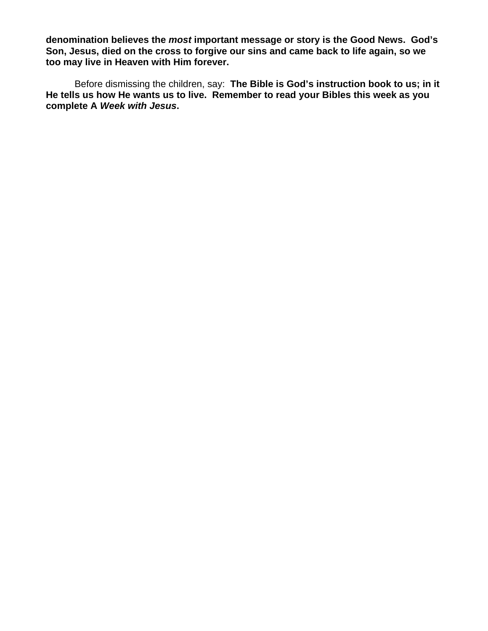**denomination believes the** *most* **important message or story is the Good News. God's Son, Jesus, died on the cross to forgive our sins and came back to life again, so we too may live in Heaven with Him forever.** 

Before dismissing the children, say: **The Bible is God's instruction book to us; in it He tells us how He wants us to live. Remember to read your Bibles this week as you complete A** *Week with Jesus***.**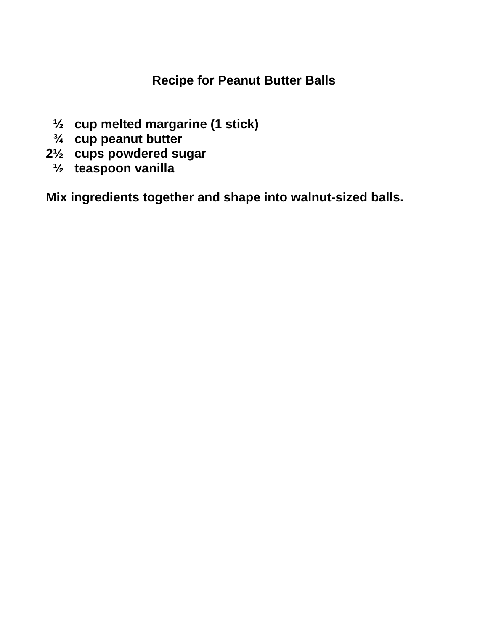## **Recipe for Peanut Butter Balls**

- **½ cup melted margarine (1 stick)**
- **¾ cup peanut butter**
- **2½ cups powdered sugar** 
	- **½ teaspoon vanilla**

**Mix ingredients together and shape into walnut-sized balls.**